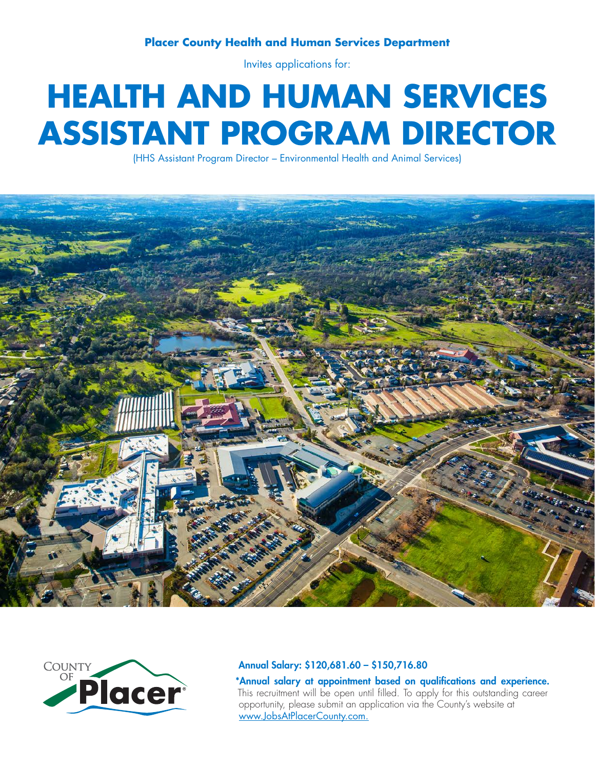## **Placer County Health and Human Services Department**

Invites applications for:

# **HEALTH AND HUMAN SERVICES ASSISTANT PROGRAM DIRECTOR**

(HHS Assistant Program Director – Environmental Health and Animal Services)





#### Annual Salary: \$120,681.60 – \$150,716.80

\*Annual salary at appointment based on qualifications and experience. This recruitment will be open until filled. To apply for this outstanding career opportunity, please submit an application via the County's website at www.JobsAtPlacerCounty.com.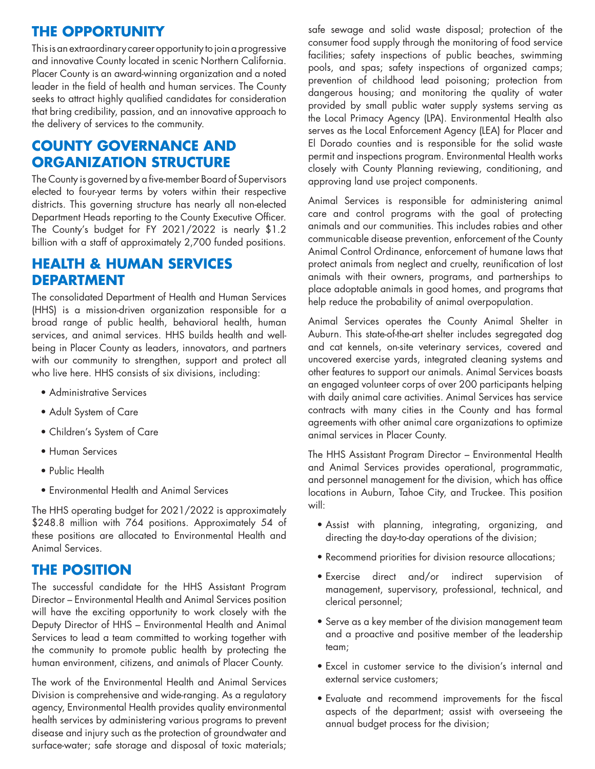# **THE OPPORTUNITY**

This is an extraordinary career opportunity to join a progressive and innovative County located in scenic Northern California. Placer County is an award-winning organization and a noted leader in the field of health and human services. The County seeks to attract highly qualified candidates for consideration that bring credibility, passion, and an innovative approach to the delivery of services to the community.

# **COUNTY GOVERNANCE AND ORGANIZATION STRUCTURE**

The County is governed by a five-member Board of Supervisors elected to four-year terms by voters within their respective districts. This governing structure has nearly all non-elected Department Heads reporting to the County Executive Officer. The County's budget for FY 2021/2022 is nearly \$1.2 billion with a staff of approximately 2,700 funded positions.

# **HEALTH & HUMAN SERVICES DEPARTMENT**

The consolidated Department of Health and Human Services (HHS) is a mission-driven organization responsible for a broad range of public health, behavioral health, human services, and animal services. HHS builds health and wellbeing in Placer County as leaders, innovators, and partners with our community to strengthen, support and protect all who live here. HHS consists of six divisions, including:

- Administrative Services
- Adult System of Care
- Children's System of Care
- Human Services
- Public Health
- Environmental Health and Animal Services

The HHS operating budget for 2021/2022 is approximately \$248.8 million with 764 positions. Approximately 54 of these positions are allocated to Environmental Health and Animal Services.

# **THE POSITION**

The successful candidate for the HHS Assistant Program Director – Environmental Health and Animal Services position will have the exciting opportunity to work closely with the Deputy Director of HHS – Environmental Health and Animal Services to lead a team committed to working together with the community to promote public health by protecting the human environment, citizens, and animals of Placer County.

The work of the Environmental Health and Animal Services Division is comprehensive and wide-ranging. As a regulatory agency, Environmental Health provides quality environmental health services by administering various programs to prevent disease and injury such as the protection of groundwater and surface-water; safe storage and disposal of toxic materials;

safe sewage and solid waste disposal; protection of the consumer food supply through the monitoring of food service facilities; safety inspections of public beaches, swimming pools, and spas; safety inspections of organized camps; prevention of childhood lead poisoning; protection from dangerous housing; and monitoring the quality of water provided by small public water supply systems serving as the Local Primacy Agency (LPA). Environmental Health also serves as the Local Enforcement Agency (LEA) for Placer and El Dorado counties and is responsible for the solid waste permit and inspections program. Environmental Health works closely with County Planning reviewing, conditioning, and approving land use project components.

Animal Services is responsible for administering animal care and control programs with the goal of protecting animals and our communities. This includes rabies and other communicable disease prevention, enforcement of the County Animal Control Ordinance, enforcement of humane laws that protect animals from neglect and cruelty, reunification of lost animals with their owners, programs, and partnerships to place adoptable animals in good homes, and programs that help reduce the probability of animal overpopulation.

Animal Services operates the County Animal Shelter in Auburn. This state-of-the-art shelter includes segregated dog and cat kennels, on-site veterinary services, covered and uncovered exercise yards, integrated cleaning systems and other features to support our animals. Animal Services boasts an engaged volunteer corps of over 200 participants helping with daily animal care activities. Animal Services has service contracts with many cities in the County and has formal agreements with other animal care organizations to optimize animal services in Placer County.

The HHS Assistant Program Director – Environmental Health and Animal Services provides operational, programmatic, and personnel management for the division, which has office locations in Auburn, Tahoe City, and Truckee. This position will:

- Assist with planning, integrating, organizing, and directing the day-to-day operations of the division;
- Recommend priorities for division resource allocations;
- Exercise direct and/or indirect supervision of management, supervisory, professional, technical, and clerical personnel;
- Serve as a key member of the division management team and a proactive and positive member of the leadership team;
- Excel in customer service to the division's internal and external service customers;
- Evaluate and recommend improvements for the fiscal aspects of the department; assist with overseeing the annual budget process for the division;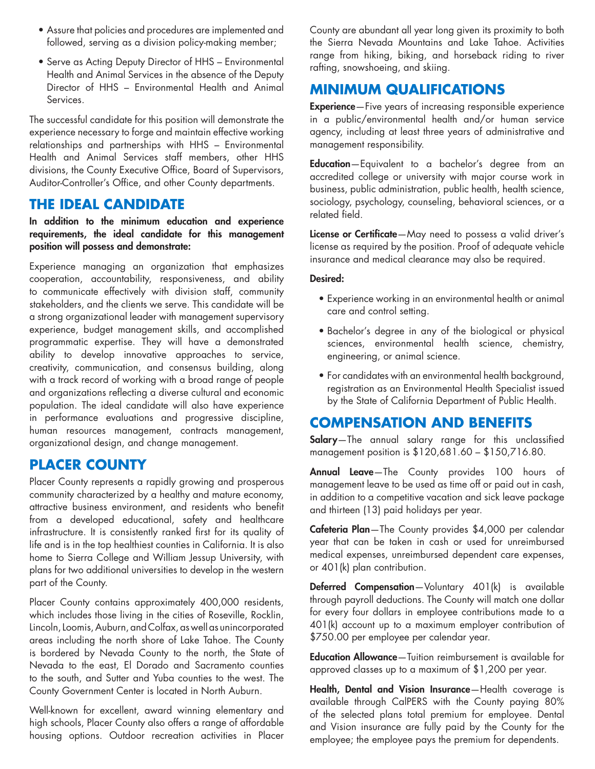- Assure that policies and procedures are implemented and followed, serving as a division policy-making member;
- Serve as Acting Deputy Director of HHS Environmental Health and Animal Services in the absence of the Deputy Director of HHS – Environmental Health and Animal Services.

The successful candidate for this position will demonstrate the experience necessary to forge and maintain effective working relationships and partnerships with HHS – Environmental Health and Animal Services staff members, other HHS divisions, the County Executive Office, Board of Supervisors, Auditor-Controller's Office, and other County departments.

## **THE IDEAL CANDIDATE**

In addition to the minimum education and experience requirements, the ideal candidate for this management position will possess and demonstrate:

Experience managing an organization that emphasizes cooperation, accountability, responsiveness, and ability to communicate effectively with division staff, community stakeholders, and the clients we serve. This candidate will be a strong organizational leader with management supervisory experience, budget management skills, and accomplished programmatic expertise. They will have a demonstrated ability to develop innovative approaches to service, creativity, communication, and consensus building, along with a track record of working with a broad range of people and organizations reflecting a diverse cultural and economic population. The ideal candidate will also have experience in performance evaluations and progressive discipline, human resources management, contracts management, organizational design, and change management.

## **PLACER COUNTY**

Placer County represents a rapidly growing and prosperous community characterized by a healthy and mature economy, attractive business environment, and residents who benefit from a developed educational, safety and healthcare infrastructure. It is consistently ranked first for its quality of life and is in the top healthiest counties in California. It is also home to Sierra College and William Jessup University, with plans for two additional universities to develop in the western part of the County.

Placer County contains approximately 400,000 residents, which includes those living in the cities of Roseville, Rocklin, Lincoln, Loomis, Auburn, and Colfax, as well as unincorporated areas including the north shore of Lake Tahoe. The County is bordered by Nevada County to the north, the State of Nevada to the east, El Dorado and Sacramento counties to the south, and Sutter and Yuba counties to the west. The County Government Center is located in North Auburn.

Well-known for excellent, award winning elementary and high schools, Placer County also offers a range of affordable housing options. Outdoor recreation activities in Placer

County are abundant all year long given its proximity to both the Sierra Nevada Mountains and Lake Tahoe. Activities range from hiking, biking, and horseback riding to river rafting, snowshoeing, and skiing.

# **MINIMUM QUALIFICATIONS**

Experience—Five years of increasing responsible experience in a public/environmental health and/or human service agency, including at least three years of administrative and management responsibility.

Education—Equivalent to a bachelor's degree from an accredited college or university with major course work in business, public administration, public health, health science, sociology, psychology, counseling, behavioral sciences, or a related field.

License or Certificate—May need to possess a valid driver's license as required by the position. Proof of adequate vehicle insurance and medical clearance may also be required.

### Desired:

- Experience working in an environmental health or animal care and control setting.
- Bachelor's degree in any of the biological or physical sciences, environmental health science, chemistry, engineering, or animal science.
- For candidates with an environmental health background, registration as an Environmental Health Specialist issued by the State of California Department of Public Health.

# **COMPENSATION AND BENEFITS**

Salary-The annual salary range for this unclassified management position is \$120,681.60 – \$150,716.80.

Annual Leave-The County provides 100 hours of management leave to be used as time off or paid out in cash, in addition to a competitive vacation and sick leave package and thirteen (13) paid holidays per year.

Cafeteria Plan-The County provides \$4,000 per calendar year that can be taken in cash or used for unreimbursed medical expenses, unreimbursed dependent care expenses, or 401(k) plan contribution.

Deferred Compensation-Voluntary 401(k) is available through payroll deductions. The County will match one dollar for every four dollars in employee contributions made to a 401(k) account up to a maximum employer contribution of \$750.00 per employee per calendar year.

Education Allowance-Tuition reimbursement is available for approved classes up to a maximum of \$1,200 per year.

Health, Dental and Vision Insurance-Health coverage is available through CalPERS with the County paying 80% of the selected plans total premium for employee. Dental and Vision insurance are fully paid by the County for the employee; the employee pays the premium for dependents.